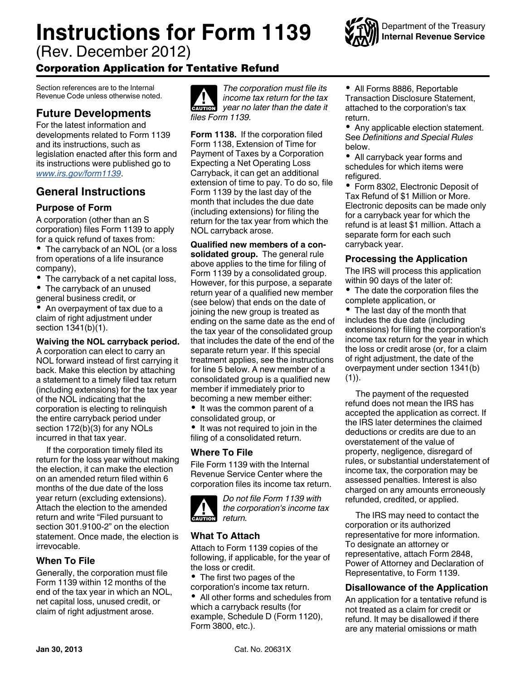# **Instructions for Form 1139**

(Rev. December 2012)

# Corporation Application for Tentative Refund

Section references are to the Internal Revenue Code unless otherwise noted.

# **Future Developments**

For the latest information and developments related to Form 1139 and its instructions, such as legislation enacted after this form and its instructions were published go to *[www.irs.gov/form1139](http://www.irs.gov/form1139)*.

# **General Instructions**

# **Purpose of Form**

A corporation (other than an S corporation) files Form 1139 to apply for a quick refund of taxes from:

• The carryback of an NOL (or a loss from operations of a life insurance company),

• The carryback of a net capital loss,

The carryback of an unused general business credit, or

An overpayment of tax due to a claim of right adjustment under section 1341(b)(1).

## **Waiving the NOL carryback period.**

A corporation can elect to carry an NOL forward instead of first carrying it back. Make this election by attaching a statement to a timely filed tax return (including extensions) for the tax year of the NOL indicating that the corporation is electing to relinquish the entire carryback period under section 172(b)(3) for any NOLs incurred in that tax year.

If the corporation timely filed its return for the loss year without making the election, it can make the election on an amended return filed within 6 months of the due date of the loss year return (excluding extensions). Attach the election to the amended return and write "Filed pursuant to section 301.9100-2" on the election statement. Once made, the election is irrevocable.

# **When To File**

Generally, the corporation must file Form 1139 within 12 months of the end of the tax year in which an NOL, net capital loss, unused credit, or claim of right adjustment arose.



*The corporation must file its income tax return for the tax year no later than the date it files Form 1139.*

**Form 1138.** If the corporation filed Form 1138, Extension of Time for Payment of Taxes by a Corporation Expecting a Net Operating Loss Carryback, it can get an additional extension of time to pay. To do so, file Form 1139 by the last day of the month that includes the due date (including extensions) for filing the return for the tax year from which the NOL carryback arose.

**Qualified new members of a consolidated group.** The general rule above applies to the time for filing of Form 1139 by a consolidated group. However, for this purpose, a separate return year of a qualified new member (see below) that ends on the date of joining the new group is treated as ending on the same date as the end of the tax year of the consolidated group that includes the date of the end of the separate return year. If this special treatment applies, see the instructions for line 5 below. A new member of a consolidated group is a qualified new member if immediately prior to becoming a new member either:

• It was the common parent of a consolidated group, or

• It was not required to join in the filing of a consolidated return.

## **Where To File**

File Form 1139 with the Internal Revenue Service Center where the corporation files its income tax return.



*Do not file Form 1139 with the corporation's income tax return.*

## **What To Attach**

Attach to Form 1139 copies of the following, if applicable, for the year of the loss or credit.

• The first two pages of the corporation's income tax return.

All other forms and schedules from which a carryback results (for example, Schedule D (Form 1120), Form 3800, etc.).

All Forms 8886, Reportable Transaction Disclosure Statement, attached to the corporation's tax return.

Department of the Treasury **Internal Revenue Service**

Any applicable election statement. See *Definitions and Special Rules*  below.

All carryback year forms and schedules for which items were refigured.

• Form 8302, Electronic Deposit of Tax Refund of \$1 Million or More. Electronic deposits can be made only for a carryback year for which the refund is at least \$1 million. Attach a separate form for each such carryback year.

### **Processing the Application**

The IRS will process this application within 90 days of the later of:

• The date the corporation files the complete application, or

• The last day of the month that includes the due date (including extensions) for filing the corporation's income tax return for the year in which the loss or credit arose (or, for a claim of right adjustment, the date of the overpayment under section 1341(b)  $(1)$ ).

The payment of the requested refund does not mean the IRS has accepted the application as correct. If the IRS later determines the claimed deductions or credits are due to an overstatement of the value of property, negligence, disregard of rules, or substantial understatement of income tax, the corporation may be assessed penalties. Interest is also charged on any amounts erroneously refunded, credited, or applied.

The IRS may need to contact the corporation or its authorized representative for more information. To designate an attorney or representative, attach Form 2848, Power of Attorney and Declaration of Representative, to Form 1139.

## **Disallowance of the Application**

An application for a tentative refund is not treated as a claim for credit or refund. It may be disallowed if there are any material omissions or math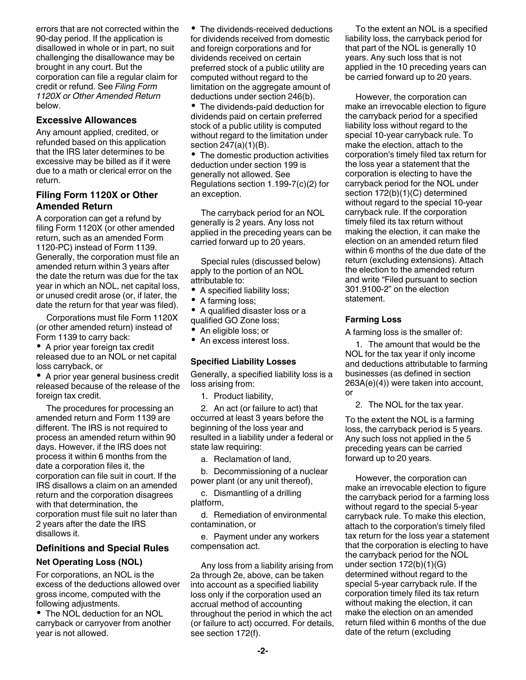errors that are not corrected within the 90-day period. If the application is disallowed in whole or in part, no suit challenging the disallowance may be brought in any court. But the corporation can file a regular claim for credit or refund. See *Filing Form 1120X or Other Amended Return*  below.

#### **Excessive Allowances**

Any amount applied, credited, or refunded based on this application that the IRS later determines to be excessive may be billed as if it were due to a math or clerical error on the return.

#### **Filing Form 1120X or Other Amended Return**

A corporation can get a refund by filing Form 1120X (or other amended return, such as an amended Form 1120-PC) instead of Form 1139. Generally, the corporation must file an amended return within 3 years after the date the return was due for the tax year in which an NOL, net capital loss, or unused credit arose (or, if later, the date the return for that year was filed).

Corporations must file Form 1120X (or other amended return) instead of Form 1139 to carry back:

A prior year foreign tax credit released due to an NOL or net capital loss carryback, or

A prior year general business credit released because of the release of the foreign tax credit.

The procedures for processing an amended return and Form 1139 are different. The IRS is not required to process an amended return within 90 days. However, if the IRS does not process it within 6 months from the date a corporation files it, the corporation can file suit in court. If the IRS disallows a claim on an amended return and the corporation disagrees with that determination, the corporation must file suit no later than 2 years after the date the IRS disallows it.

#### **Definitions and Special Rules**

#### **Net Operating Loss (NOL)**

For corporations, an NOL is the excess of the deductions allowed over gross income, computed with the following adjustments.

The NOL deduction for an NOL carryback or carryover from another year is not allowed.

The dividends-received deductions for dividends received from domestic and foreign corporations and for dividends received on certain preferred stock of a public utility are computed without regard to the limitation on the aggregate amount of deductions under section 246(b).

• The dividends-paid deduction for dividends paid on certain preferred stock of a public utility is computed without regard to the limitation under section 247(a)(1)(B).

• The domestic production activities deduction under section 199 is generally not allowed. See Regulations section 1.199-7(c)(2) for an exception.

The carryback period for an NOL generally is 2 years. Any loss not applied in the preceding years can be carried forward up to 20 years.

Special rules (discussed below) apply to the portion of an NOL attributable to:

- A specified liability loss;
- A farming loss;

A qualified disaster loss or a qualified GO Zone loss;

- An eligible loss; or
- An excess interest loss.

#### **Specified Liability Losses**

Generally, a specified liability loss is a loss arising from:

1. Product liability,

2. An act (or failure to act) that occurred at least 3 years before the beginning of the loss year and resulted in a liability under a federal or state law requiring:

a. Reclamation of land,

b. Decommissioning of a nuclear power plant (or any unit thereof),

c. Dismantling of a drilling platform,

d. Remediation of environmental contamination, or

e. Payment under any workers compensation act.

Any loss from a liability arising from 2a through 2e, above, can be taken into account as a specified liability loss only if the corporation used an accrual method of accounting throughout the period in which the act (or failure to act) occurred. For details, see section 172(f).

To the extent an NOL is a specified liability loss, the carryback period for that part of the NOL is generally 10 years. Any such loss that is not applied in the 10 preceding years can be carried forward up to 20 years.

However, the corporation can make an irrevocable election to figure the carryback period for a specified liability loss without regard to the special 10-year carryback rule. To make the election, attach to the corporation's timely filed tax return for the loss year a statement that the corporation is electing to have the carryback period for the NOL under section 172(b)(1)(C) determined without regard to the special 10-year carryback rule. If the corporation timely filed its tax return without making the election, it can make the election on an amended return filed within 6 months of the due date of the return (excluding extensions). Attach the election to the amended return and write "Filed pursuant to section 301.9100-2" on the election statement.

#### **Farming Loss**

A farming loss is the smaller of:

1. The amount that would be the NOL for the tax year if only income and deductions attributable to farming businesses (as defined in section 263A(e)(4)) were taken into account, or

2. The NOL for the tax year.

To the extent the NOL is a farming loss, the carryback period is 5 years. Any such loss not applied in the 5 preceding years can be carried forward up to 20 years.

However, the corporation can make an irrevocable election to figure the carryback period for a farming loss without regard to the special 5-year carryback rule. To make this election, attach to the corporation's timely filed tax return for the loss year a statement that the corporation is electing to have the carryback period for the NOL under section 172(b)(1)(G) determined without regard to the special 5-year carryback rule. If the corporation timely filed its tax return without making the election, it can make the election on an amended return filed within 6 months of the due date of the return (excluding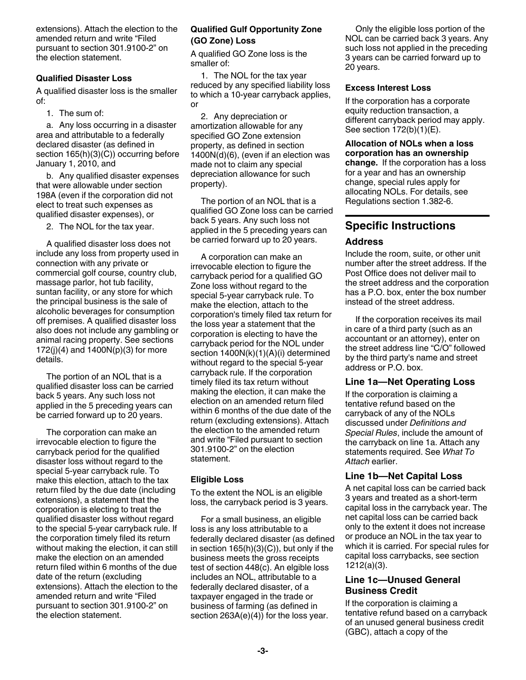extensions). Attach the election to the amended return and write "Filed pursuant to section 301.9100-2" on the election statement.

#### **Qualified Disaster Loss**

A qualified disaster loss is the smaller of:

1. The sum of:

a. Any loss occurring in a disaster area and attributable to a federally declared disaster (as defined in section  $165(h)(3)(C)$ ) occurring before January 1, 2010, and

b. Any qualified disaster expenses that were allowable under section 198A (even if the corporation did not elect to treat such expenses as qualified disaster expenses), or

2. The NOL for the tax year.

A qualified disaster loss does not include any loss from property used in connection with any private or commercial golf course, country club, massage parlor, hot tub facility, suntan facility, or any store for which the principal business is the sale of alcoholic beverages for consumption off premises. A qualified disaster loss also does not include any gambling or animal racing property. See sections 172(j)(4) and 1400N(p)(3) for more details.

The portion of an NOL that is a qualified disaster loss can be carried back 5 years. Any such loss not applied in the 5 preceding years can be carried forward up to 20 years.

The corporation can make an irrevocable election to figure the carryback period for the qualified disaster loss without regard to the special 5-year carryback rule. To make this election, attach to the tax return filed by the due date (including extensions), a statement that the corporation is electing to treat the qualified disaster loss without regard to the special 5-year carryback rule. If the corporation timely filed its return without making the election, it can still make the election on an amended return filed within 6 months of the due date of the return (excluding extensions). Attach the election to the amended return and write "Filed pursuant to section 301.9100-2" on the election statement.

#### **Qualified Gulf Opportunity Zone (GO Zone) Loss**

A qualified GO Zone loss is the smaller of:

1. The NOL for the tax year reduced by any specified liability loss to which a 10-year carryback applies, or

2. Any depreciation or amortization allowable for any specified GO Zone extension property, as defined in section 1400N(d)(6), (even if an election was made not to claim any special depreciation allowance for such property).

The portion of an NOL that is a qualified GO Zone loss can be carried back 5 years. Any such loss not applied in the 5 preceding years can be carried forward up to 20 years.

A corporation can make an irrevocable election to figure the carryback period for a qualified GO Zone loss without regard to the special 5-year carryback rule. To make the election, attach to the corporation's timely filed tax return for the loss year a statement that the corporation is electing to have the carryback period for the NOL under section 1400N(k)(1)(A)(i) determined without regard to the special 5-year carryback rule. If the corporation timely filed its tax return without making the election, it can make the election on an amended return filed within 6 months of the due date of the return (excluding extensions). Attach the election to the amended return and write "Filed pursuant to section 301.9100-2" on the election statement.

#### **Eligible Loss**

To the extent the NOL is an eligible loss, the carryback period is 3 years.

For a small business, an eligible loss is any loss attributable to a federally declared disaster (as defined in section 165(h)(3)(C)), but only if the business meets the gross receipts test of section 448(c). An elgible loss includes an NOL, attributable to a federally declared disaster, of a taxpayer engaged in the trade or business of farming (as defined in section 263A(e)(4)) for the loss year.

Only the eligible loss portion of the NOL can be carried back 3 years. Any such loss not applied in the preceding 3 years can be carried forward up to 20 years.

#### **Excess Interest Loss**

If the corporation has a corporate equity reduction transaction, a different carryback period may apply. See section 172(b)(1)(E).

**Allocation of NOLs when a loss corporation has an ownership change.** If the corporation has a loss for a year and has an ownership change, special rules apply for allocating NOLs. For details, see Regulations section 1.382-6.

## **Specific Instructions**

#### **Address**

Include the room, suite, or other unit number after the street address. If the Post Office does not deliver mail to the street address and the corporation has a P.O. box, enter the box number instead of the street address.

If the corporation receives its mail in care of a third party (such as an accountant or an attorney), enter on the street address line "C/O" followed by the third party's name and street address or P.O. box.

#### **Line 1a—Net Operating Loss**

If the corporation is claiming a tentative refund based on the carryback of any of the NOLs discussed under *Definitions and Special Rules*, include the amount of the carryback on line 1a. Attach any statements required. See *What To Attach* earlier.

#### **Line 1b—Net Capital Loss**

A net capital loss can be carried back 3 years and treated as a short-term capital loss in the carryback year. The net capital loss can be carried back only to the extent it does not increase or produce an NOL in the tax year to which it is carried. For special rules for capital loss carrybacks, see section 1212(a)(3).

#### **Line 1c—Unused General Business Credit**

If the corporation is claiming a tentative refund based on a carryback of an unused general business credit (GBC), attach a copy of the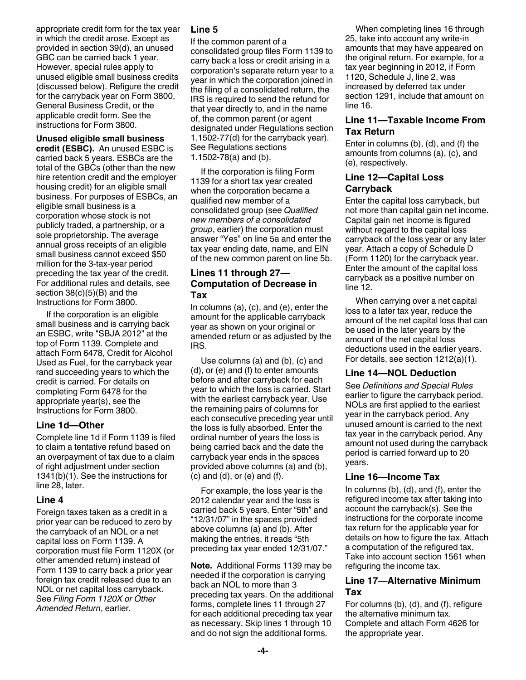appropriate credit form for the tax year in which the credit arose. Except as provided in section 39(d), an unused GBC can be carried back 1 year. However, special rules apply to unused eligible small business credits (discussed below). Refigure the credit for the carryback year on Form 3800, General Business Credit, or the applicable credit form. See the instructions for Form 3800.

**Unused eligible small business credit (ESBC).** An unused ESBC is carried back 5 years. ESBCs are the total of the GBCs (other than the new hire retention credit and the employer housing credit) for an eligible small business. For purposes of ESBCs, an eligible small business is a corporation whose stock is not publicly traded, a partnership, or a sole proprietorship. The average annual gross receipts of an eligible small business cannot exceed \$50 million for the 3-tax-year period preceding the tax year of the credit. For additional rules and details, see section 38(c)(5)(B) and the Instructions for Form 3800.

If the corporation is an eligible small business and is carrying back an ESBC, write "SBJA 2012" at the top of Form 1139. Complete and attach Form 6478, Credit for Alcohol Used as Fuel, for the carryback year rand succeeding years to which the credit is carried. For details on completing Form 6478 for the appropriate year(s), see the Instructions for Form 3800.

#### **Line 1d—Other**

Complete line 1d if Form 1139 is filed to claim a tentative refund based on an overpayment of tax due to a claim of right adjustment under section 1341(b)(1). See the instructions for line 28, later.

#### **Line 4**

Foreign taxes taken as a credit in a prior year can be reduced to zero by the carryback of an NOL or a net capital loss on Form 1139. A corporation must file Form 1120X (or other amended return) instead of Form 1139 to carry back a prior year foreign tax credit released due to an NOL or net capital loss carryback. See *Filing Form 1120X or Other Amended Return*, earlier.

#### **Line 5**

If the common parent of a

consolidated group files Form 1139 to carry back a loss or credit arising in a corporation's separate return year to a year in which the corporation joined in the filing of a consolidated return, the IRS is required to send the refund for that year directly to, and in the name of, the common parent (or agent designated under Regulations section 1.1502-77(d) for the carryback year). See Regulations sections 1.1502-78(a) and (b).

If the corporation is filing Form 1139 for a short tax year created when the corporation became a qualified new member of a consolidated group (see *Qualified new members of a consolidated group*, earlier) the corporation must answer "Yes" on line 5a and enter the tax year ending date, name, and EIN of the new common parent on line 5b.

#### **Lines 11 through 27— Computation of Decrease in Tax**

In columns (a), (c), and (e), enter the amount for the applicable carryback year as shown on your original or amended return or as adjusted by the IRS.

Use columns (a) and (b), (c) and (d), or (e) and (f) to enter amounts before and after carryback for each year to which the loss is carried. Start with the earliest carryback year. Use the remaining pairs of columns for each consecutive preceding year until the loss is fully absorbed. Enter the ordinal number of years the loss is being carried back and the date the carryback year ends in the spaces provided above columns (a) and (b),  $(c)$  and  $(d)$ , or  $(e)$  and  $(f)$ .

For example, the loss year is the 2012 calendar year and the loss is carried back 5 years. Enter "5th" and "12/31/07" in the spaces provided above columns (a) and (b). After making the entries, it reads "5th preceding tax year ended 12/31/07."

**Note.** Additional Forms 1139 may be needed if the corporation is carrying back an NOL to more than 3 preceding tax years. On the additional forms, complete lines 11 through 27 for each additional preceding tax year as necessary. Skip lines 1 through 10 and do not sign the additional forms.

When completing lines 16 through 25, take into account any write-in amounts that may have appeared on the original return. For example, for a tax year beginning in 2012, if Form 1120, Schedule J, line 2, was increased by deferred tax under section 1291, include that amount on line 16.

#### **Line 11—Taxable Income From Tax Return**

Enter in columns (b), (d), and (f) the amounts from columns (a), (c), and (e), respectively.

#### **Line 12—Capital Loss Carryback**

Enter the capital loss carryback, but not more than capital gain net income. Capital gain net income is figured without regard to the capital loss carryback of the loss year or any later year. Attach a copy of Schedule D (Form 1120) for the carryback year. Enter the amount of the capital loss carryback as a positive number on line 12.

When carrying over a net capital loss to a later tax year, reduce the amount of the net capital loss that can be used in the later years by the amount of the net capital loss deductions used in the earlier years. For details, see section 1212(a)(1).

#### **Line 14—NOL Deduction**

See *Definitions and Special Rules*  earlier to figure the carryback period. NOLs are first applied to the earliest year in the carryback period. Any unused amount is carried to the next tax year in the carryback period. Any amount not used during the carryback period is carried forward up to 20 years.

#### **Line 16—Income Tax**

In columns (b), (d), and (f), enter the refigured income tax after taking into account the carryback(s). See the instructions for the corporate income tax return for the applicable year for details on how to figure the tax. Attach a computation of the refigured tax. Take into account section 1561 when refiguring the income tax.

#### **Line 17—Alternative Minimum Tax**

For columns (b), (d), and (f), refigure the alternative minimum tax. Complete and attach Form 4626 for the appropriate year.